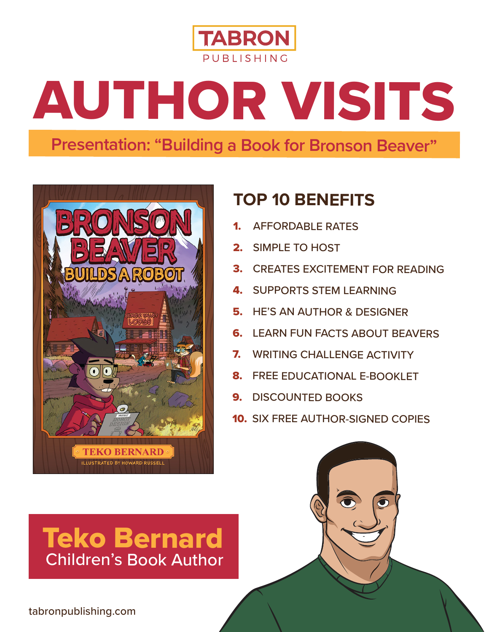

# AUTHOR VISITS

## **Presentation: "Building a Book for Bronson Beaver"**



# **TOP 10 BENEFITS**

- 1. AFFORDABLE RATES
- 2. SIMPLE TO HOST
- 3. CREATES EXCITEMENT FOR READING
- 4. SUPPORTS STEM LEARNING
- 5. HE'S AN AUTHOR & DESIGNER
- 6. LEARN FUN FACTS ABOUT BEAVERS
- 7. WRITING CHALLENGE ACTIVITY
- 8. FREE EDUCATIONAL E-BOOKLET
- 9. DISCOUNTED BOOKS
- 10. SIX FREE AUTHOR-SIGNED COPIES

# Teko Bernard Children's Book Author

tabronpublishing.com